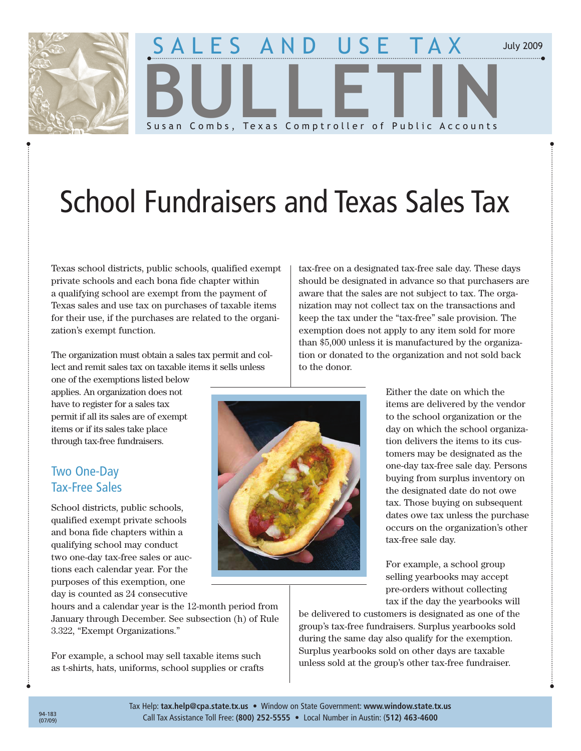

## ES AND USE TAX **BULLETIN** Susan Combs, Texas Comptroller of Public Accounts

# School Fundraisers and Texas Sales Tax

Texas school districts, public schools, qualified exempt private schools and each bona fide chapter within a qualifying school are exempt from the payment of Texas sales and use tax on purchases of taxable items for their use, if the purchases are related to the organization's exempt function.

The organization must obtain a sales tax permit and collect and remit sales tax on taxable items it sells unless

one of the exemptions listed below applies. An organization does not have to register for a sales tax permit if all its sales are of exempt items or if its sales take place through tax-free fundraisers.

## **Two One-Day Tax-Free Sales**

School districts, public schools, qualified exempt private schools and bona fide chapters within a qualifying school may conduct two one-day tax-free sales or auctions each calendar year. For the purposes of this exemption, one day is counted as 24 consecutive

hours and a calendar year is the 12-month period from January through December. See subsection (h) of Rule 3.322, "Exempt Organizations."

For example, a school may sell taxable items such as t-shirts, hats, uniforms, school supplies or crafts tax-free on a designated tax-free sale day. These days should be designated in advance so that purchasers are aware that the sales are not subject to tax. The organization may not collect tax on the transactions and keep the tax under the "tax-free" sale provision. The exemption does not apply to any item sold for more than \$5,000 unless it is manufactured by the organization or donated to the organization and not sold back to the donor.

> Either the date on which the items are delivered by the vendor to the school organization or the day on which the school organization delivers the items to its customers may be designated as the one-day tax-free sale day. Persons buying from surplus inventory on the designated date do not owe tax. Those buying on subsequent dates owe tax unless the purchase occurs on the organization's other tax-free sale day.

July 2009

For example, a school group selling yearbooks may accept pre-orders without collecting tax if the day the yearbooks will

be delivered to customers is designated as one of the group's tax-free fundraisers. Surplus yearbooks sold during the same day also qualify for the exemption. Surplus yearbooks sold on other days are taxable unless sold at the group's other tax-free fundraiser.

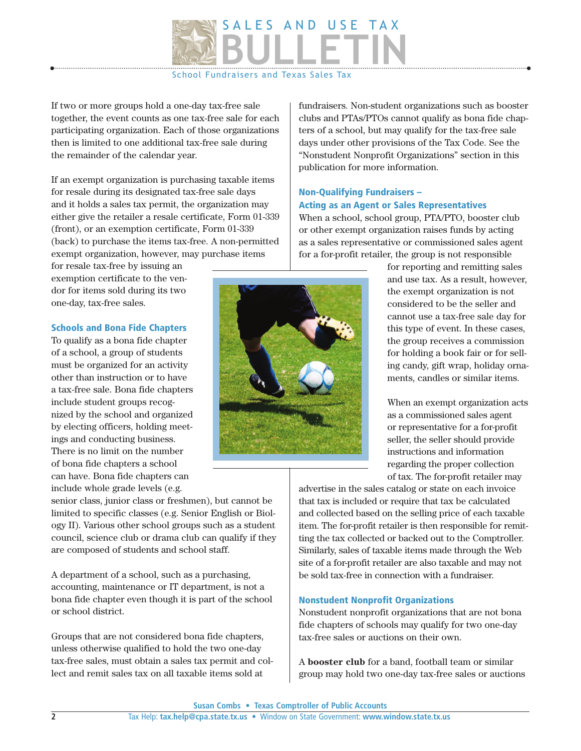

If two or more groups hold a one-day tax-free sale together, the event counts as one tax-free sale for each participating organization. Each of those organizations then is limited to one additional tax-free sale during the remainder of the calendar year.

If an exempt organization is purchasing taxable items for resale during its designated tax-free sale days and it holds a sales tax permit, the organization may either give the retailer a resale certificate, Form 01-339 (front), or an exemption certificate, Form 01-339 (back) to purchase the items tax-free. A non-permitted exempt organization, however, may purchase items

for resale tax-free by issuing an exemption certificate to the vendor for items sold during its two one-day, tax-free sales.

#### Schools and Bona Fide Chapters

To qualify as a bona fide chapter of a school, a group of students must be organized for an activity other than instruction or to have a tax-free sale. Bona fide chapters include student groups recognized by the school and organized by electing officers, holding meetings and conducting business. There is no limit on the number of bona fide chapters a school can have. Bona fide chapters can include whole grade levels (e.g.

senior class, junior class or freshmen), but cannot be limited to specific classes (e.g. Senior English or Biology II). Various other school groups such as a student council, science club or drama club can qualify if they are composed of students and school staff.

A department of a school, such as a purchasing, accounting, maintenance or IT department, is not a bona fide chapter even though it is part of the school or school district.

Groups that are not considered bona fide chapters, unless otherwise qualified to hold the two one-day tax-free sales, must obtain a sales tax permit and collect and remit sales tax on all taxable items sold at

fundraisers. Non-student organizations such as booster clubs and PTAs/PTOs cannot qualify as bona fide chapters of a school, but may qualify for the tax-free sale days under other provisions of the Tax Code. See the "Nonstudent Nonprofit Organizations" section in this publication for more information.

## Non-Qualifying Fundraisers – Acting as an Agent or Sales Representatives

When a school, school group, PTA/PTO, booster club or other exempt organization raises funds by acting as a sales representative or commissioned sales agent for a for-profit retailer, the group is not responsible

> for reporting and remitting sales and use tax. As a result, however, the exempt organization is not considered to be the seller and cannot use a tax-free sale day for this type of event. In these cases, the group receives a commission for holding a book fair or for selling candy, gift wrap, holiday ornaments, candles or similar items.

> When an exempt organization acts as a commissioned sales agent or representative for a for-profit seller, the seller should provide instructions and information regarding the proper collection of tax. The for-profit retailer may

advertise in the sales catalog or state on each invoice that tax is included or require that tax be calculated and collected based on the selling price of each taxable item. The for-profit retailer is then responsible for remitting the tax collected or backed out to the Comptroller. Similarly, sales of taxable items made through the Web site of a for-profit retailer are also taxable and may not be sold tax-free in connection with a fundraiser.

## Nonstudent Nonprofit Organizations

Nonstudent nonprofit organizations that are not bona fide chapters of schools may qualify for two one-day tax-free sales or auctions on their own.

A **booster club** for a band, football team or similar group may hold two one-day tax-free sales or auctions

**Susan Combs • Texas Comptroller of Public Accounts** 

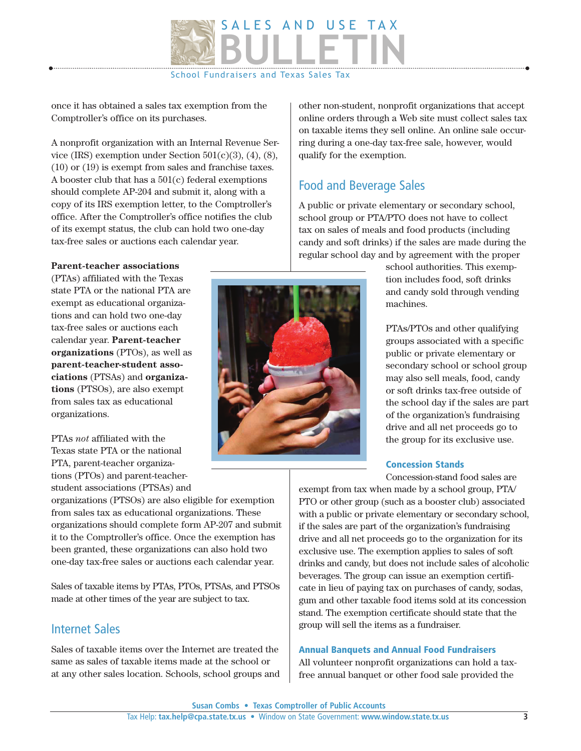

once it has obtained a sales tax exemption from the Comptroller's office on its purchases.

A nonprofit organization with an Internal Revenue Service (IRS) exemption under Section  $501(c)(3)$ ,  $(4)$ ,  $(8)$ , (10) or (19) is exempt from sales and franchise taxes. A booster club that has a 501(c) federal exemptions should complete AP-204 and submit it, along with a copy of its IRS exemption letter, to the Comptroller's office. After the Comptroller's office notifies the club of its exempt status, the club can hold two one-day tax-free sales or auctions each calendar year.

#### **Parent-teacher associations**

(PTAs) affiliated with the Texas state PTA or the national PTA are exempt as educational organizations and can hold two one-day tax-free sales or auctions each calendar year. **Parent-teacher organizations** (PTOs), as well as **parent-teacher-student associations** (PTSAs) and **organizations** (PTSOs), are also exempt from sales tax as educational organizations.

PTAs *not* affiliated with the Texas state PTA or the national PTA, parent-teacher organizations (PTOs) and parent-teacherstudent associations (PTSAs) and

organizations (PTSOs) are also eligible for exemption from sales tax as educational organizations. These organizations should complete form AP-207 and submit it to the Comptroller's office. Once the exemption has been granted, these organizations can also hold two one-day tax-free sales or auctions each calendar year.

Sales of taxable items by PTAs, PTOs, PTSAs, and PTSOs made at other times of the year are subject to tax.

## Internet Sales

Sales of taxable items over the Internet are treated the same as sales of taxable items made at the school or at any other sales location. Schools, school groups and

other non-student, nonprofit organizations that accept online orders through a Web site must collect sales tax on taxable items they sell online. An online sale occurring during a one-day tax-free sale, however, would qualify for the exemption.

## Food and Beverage Sales

A public or private elementary or secondary school, school group or PTA/PTO does not have to collect tax on sales of meals and food products (including candy and soft drinks) if the sales are made during the regular school day and by agreement with the proper

> school authorities. This exemption includes food, soft drinks and candy sold through vending machines.

PTAs/PTOs and other qualifying groups associated with a specific public or private elementary or secondary school or school group may also sell meals, food, candy or soft drinks tax-free outside of the school day if the sales are part of the organization's fundraising drive and all net proceeds go to the group for its exclusive use.

## Concession Stands

Concession-stand food sales are

exempt from tax when made by a school group, PTA/ PTO or other group (such as a booster club) associated with a public or private elementary or secondary school, if the sales are part of the organization's fundraising drive and all net proceeds go to the organization for its exclusive use. The exemption applies to sales of soft drinks and candy, but does not include sales of alcoholic beverages. The group can issue an exemption certificate in lieu of paying tax on purchases of candy, sodas, gum and other taxable food items sold at its concession stand. The exemption certificate should state that the group will sell the items as a fundraiser.

#### Annual Banquets and Annual Food Fundraisers

All volunteer nonprofit organizations can hold a taxfree annual banquet or other food sale provided the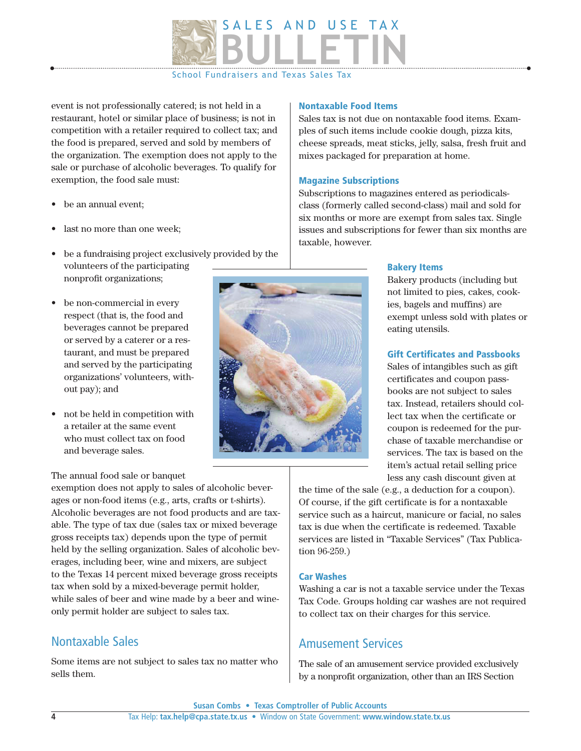

event is not professionally catered; is not held in a restaurant, hotel or similar place of business; is not in competition with a retailer required to collect tax; and the food is prepared, served and sold by members of the organization. The exemption does not apply to the sale or purchase of alcoholic beverages. To qualify for exemption, the food sale must:

- $\bullet$  be an annual event;
- last no more than one week;
- be a fundraising project exclusively provided by the volunteers of the participating nonprofit organizations;
- be non-commercial in every respect (that is, the food and beverages cannot be prepared or served by a caterer or a restaurant, and must be prepared and served by the participating organizations' volunteers, without pay); and
- $\bullet$  not be held in competition with a retailer at the same event who must collect tax on food and beverage sales.

#### The annual food sale or banquet

exemption does not apply to sales of alcoholic beverages or non-food items (e.g., arts, crafts or t-shirts). Alcoholic beverages are not food products and are taxable. The type of tax due (sales tax or mixed beverage gross receipts tax) depends upon the type of permit held by the selling organization. Sales of alcoholic beverages, including beer, wine and mixers, are subject to the Texas 14 percent mixed beverage gross receipts tax when sold by a mixed-beverage permit holder, while sales of beer and wine made by a beer and wineonly permit holder are subject to sales tax.

## Nontaxable Sales

Some items are not subject to sales tax no matter who sells them.

## Nontaxable Food Items

Sales tax is not due on nontaxable food items. Examples of such items include cookie dough, pizza kits, cheese spreads, meat sticks, jelly, salsa, fresh fruit and mixes packaged for preparation at home.

## Magazine Subscriptions

Subscriptions to magazines entered as periodicalsclass (formerly called second-class) mail and sold for six months or more are exempt from sales tax. Single issues and subscriptions for fewer than six months are taxable, however.



#### Bakery Items

Bakery products (including but not limited to pies, cakes, cookies, bagels and muffins) are exempt unless sold with plates or eating utensils.

## Gift Certificates and Passbooks

Sales of intangibles such as gift certificates and coupon passbooks are not subject to sales tax. Instead, retailers should collect tax when the certificate or coupon is redeemed for the purchase of taxable merchandise or services. The tax is based on the item's actual retail selling price less any cash discount given at

the time of the sale (e.g., a deduction for a coupon). Of course, if the gift certificate is for a nontaxable service such as a haircut, manicure or facial, no sales tax is due when the certificate is redeemed. Taxable services are listed in "Taxable Services" (Tax Publication 96-259.)

## Car Washes

Washing a car is not a taxable service under the Texas Tax Code. Groups holding car washes are not required to collect tax on their charges for this service.

## **Amusement Services**

The sale of an amusement service provided exclusively by a nonprofit organization, other than an IRS Section

**Susan Combs • Texas Comptroller of Public Accounts**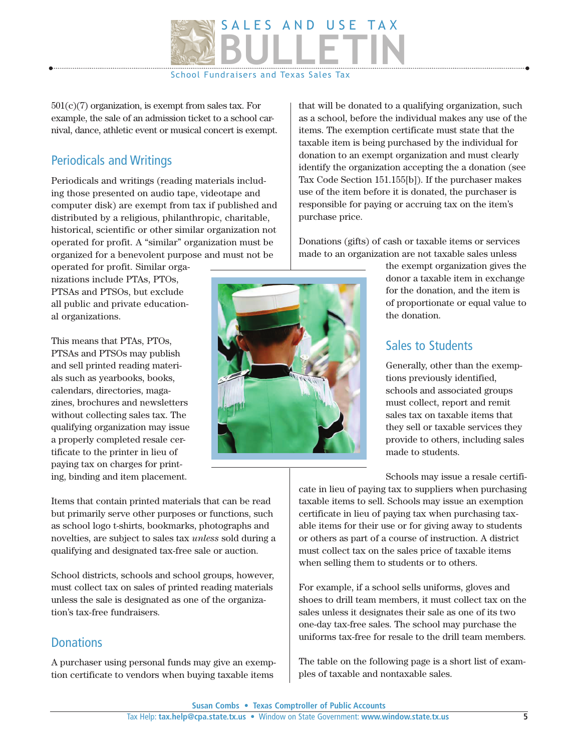

 $501(c)(7)$  organization, is exempt from sales tax. For example, the sale of an admission ticket to a school carnival, dance, athletic event or musical concert is exempt.

## **Periodicals and Writings**

Periodicals and writings (reading materials including those presented on audio tape, videotape and computer disk) are exempt from tax if published and distributed by a religious, philanthropic, charitable, historical, scientific or other similar organization not operated for profit. A "similar" organization must be organized for a benevolent purpose and must not be

operated for profit. Similar organizations include PTAs, PTOs, PTSAs and PTSOs, but exclude all public and private educational organizations.

This means that PTAs, PTOs, PTSAs and PTSOs may publish and sell printed reading materials such as yearbooks, books, calendars, directories, magazines, brochures and newsletters without collecting sales tax. The qualifying organization may issue a properly completed resale certificate to the printer in lieu of paying tax on charges for printing, binding and item placement.

Items that contain printed materials that can be read but primarily serve other purposes or functions, such as school logo t-shirts, bookmarks, photographs and novelties, are subject to sales tax *unless* sold during a qualifying and designated tax-free sale or auction.

School districts, schools and school groups, however, must collect tax on sales of printed reading materials unless the sale is designated as one of the organization's tax-free fundraisers.

## **Donations**

A purchaser using personal funds may give an exemption certificate to vendors when buying taxable items

that will be donated to a qualifying organization, such as a school, before the individual makes any use of the items. The exemption certificate must state that the taxable item is being purchased by the individual for donation to an exempt organization and must clearly identify the organization accepting the a donation (see Tax Code Section 151.155[b]). If the purchaser makes use of the item before it is donated, the purchaser is responsible for paying or accruing tax on the item's purchase price.

Donations (gifts) of cash or taxable items or services made to an organization are not taxable sales unless

> the exempt organization gives the donor a taxable item in exchange for the donation, and the item is of proportionate or equal value to the donation.

## Sales to Students

Generally, other than the exemptions previously identified, schools and associated groups must collect, report and remit sales tax on taxable items that they sell or taxable services they provide to others, including sales made to students.

Schools may issue a resale certifi-

cate in lieu of paying tax to suppliers when purchasing taxable items to sell. Schools may issue an exemption certificate in lieu of paying tax when purchasing taxable items for their use or for giving away to students or others as part of a course of instruction. A district must collect tax on the sales price of taxable items when selling them to students or to others.

For example, if a school sells uniforms, gloves and shoes to drill team members, it must collect tax on the sales unless it designates their sale as one of its two one-day tax-free sales. The school may purchase the uniforms tax-free for resale to the drill team members.

The table on the following page is a short list of examples of taxable and nontaxable sales.